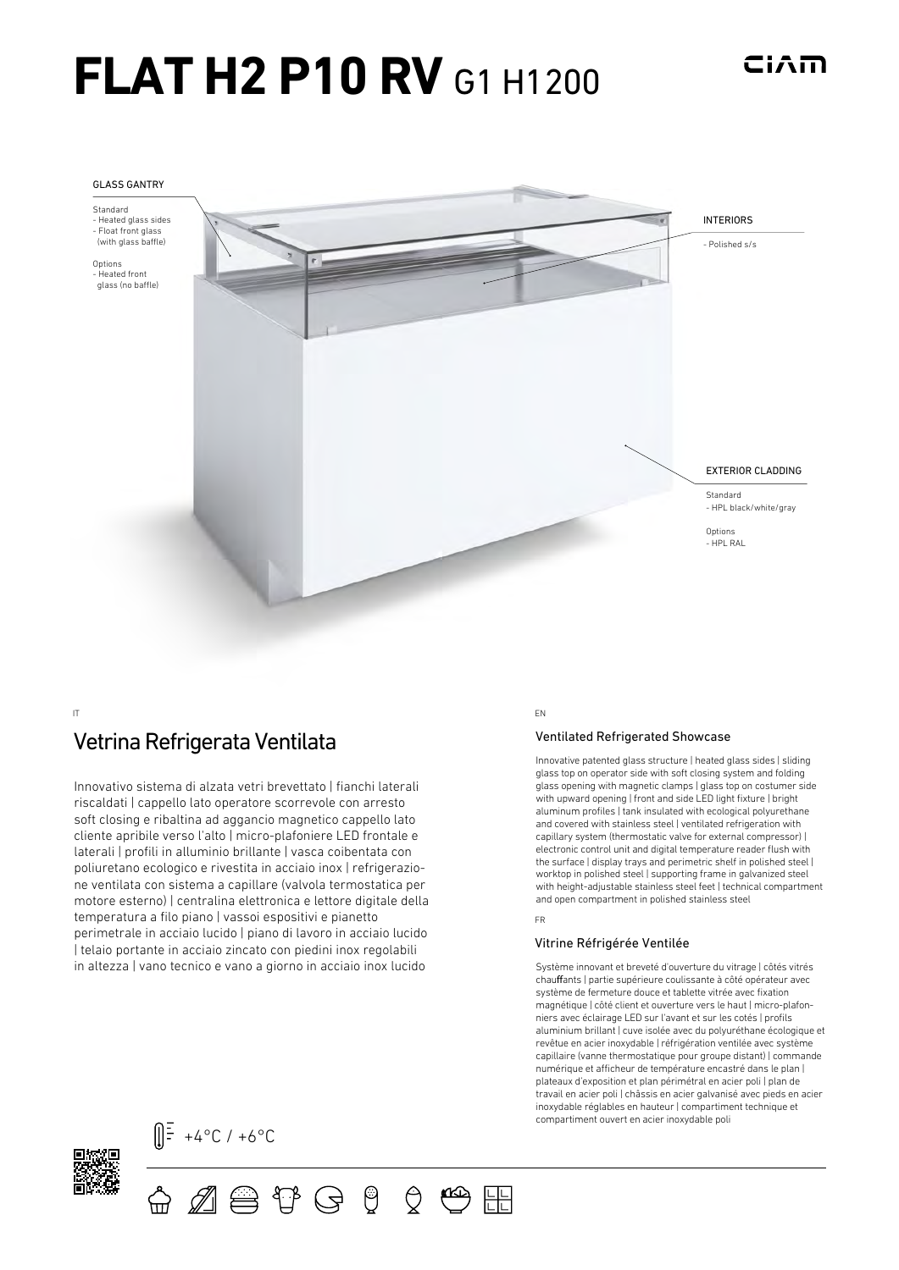# **FLAT H2 P10 RV G1 H1200**



#### IT EN

# Vetrina Refrigerata Ventilata Matter Channel Ventilated Refrigerated Showcase

Innovativo sistema di alzata vetri brevettato | fianchi laterali riscaldati | cappello lato operatore scorrevole con arresto soft closing e ribaltina ad aggancio magnetico cappello lato cliente apribile verso l'alto | micro-plafoniere LED frontale e laterali | profili in alluminio brillante | vasca coibentata con poliuretano ecologico e rivestita in acciaio inox | refrigerazione ventilata con sistema a capillare (valvola termostatica per motore esterno) | centralina elettronica e lettore digitale della temperatura a filo piano | vassoi espositivi e pianetto perimetrale in acciaio lucido | piano di lavoro in acciaio lucido | telaio portante in acciaio zincato con piedini inox regolabili in altezza | vano tecnico e vano a giorno in acciaio inox lucido

Innovative patented glass structure | heated glass sides | sliding glass top on operator side with soft closing system and folding glass opening with magnetic clamps | glass top on costumer side with upward opening | front and side LED light fixture | bright aluminum profiles | tank insulated with ecological polyurethane and covered with stainless steel | ventilated refrigeration with capillary system (thermostatic valve for external compressor) | electronic control unit and digital temperature reader flush with the surface | display trays and perimetric shelf in polished steel | worktop in polished steel | supporting frame in galvanized steel with height-adjustable stainless steel feet | technical compartment and open compartment in polished stainless steel

#### FR

### Vitrine Réfrigérée Ventilée

Système innovant et breveté d'ouverture du vitrage | côtés vitrés chauffants | partie supérieure coulissante à côté opérateur avec système de fermeture douce et tablette vitrée avec fixation magnétique | côté client et ouverture vers le haut | micro-plafonniers avec éclairage LED sur l'avant et sur les cotés | profils aluminium brillant | cuve isolée avec du polyuréthane écologique et revêtue en acier inoxydable | réfrigération ventilée avec système capillaire (vanne thermostatique pour groupe distant) | commande numérique et afficheur de température encastré dans le plan l plateaux d'exposition et plan périmétral en acier poli | plan de travail en acier poli | châssis en acier galvanisé avec pieds en acier inoxydable réglables en hauteur | compartiment technique et compartiment ouvert en acier inoxydable poli